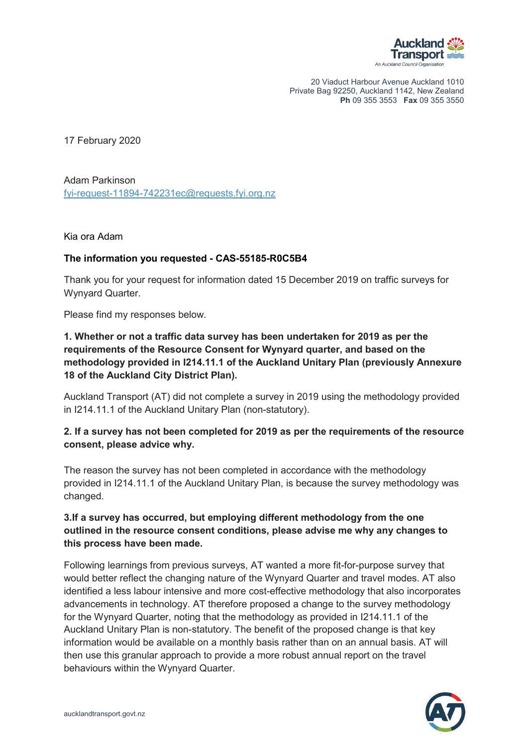

20 Viaduct Harbour Avenue Auckland 1010 Private Bag 92250, Auckland 1142, New Zealand **Ph** 09 355 3553 **Fax** 09 355 3550

17 February 2020

Adam Parkinson [fyi-request-11894-742231ec@requests.fyi.org.nz](mailto:xxxxxxxxxxxxxxxxxxxxxxxxxx@xxxxxxxx.xxx.xxx.xx)

Kia ora Adam

## **The information you requested - CAS-55185-R0C5B4**

Thank you for your request for information dated 15 December 2019 on traffic surveys for Wynyard Quarter.

Please find my responses below.

**1. Whether or not a traffic data survey has been undertaken for 2019 as per the requirements of the Resource Consent for Wynyard quarter, and based on the methodology provided in I214.11.1 of the Auckland Unitary Plan (previously Annexure 18 of the Auckland City District Plan).**

Auckland Transport (AT) did not complete a survey in 2019 using the methodology provided in I214.11.1 of the Auckland Unitary Plan (non-statutory).

## **2. If a survey has not been completed for 2019 as per the requirements of the resource consent, please advice why.**

The reason the survey has not been completed in accordance with the methodology provided in I214.11.1 of the Auckland Unitary Plan, is because the survey methodology was changed.

## **3.If a survey has occurred, but employing different methodology from the one outlined in the resource consent conditions, please advise me why any changes to this process have been made.**

Following learnings from previous surveys, AT wanted a more fit-for-purpose survey that would better reflect the changing nature of the Wynyard Quarter and travel modes. AT also identified a less labour intensive and more cost-effective methodology that also incorporates advancements in technology. AT therefore proposed a change to the survey methodology for the Wynyard Quarter, noting that the methodology as provided in I214.11.1 of the Auckland Unitary Plan is non-statutory. The benefit of the proposed change is that key information would be available on a monthly basis rather than on an annual basis. AT will then use this granular approach to provide a more robust annual report on the travel behaviours within the Wynyard Quarter.